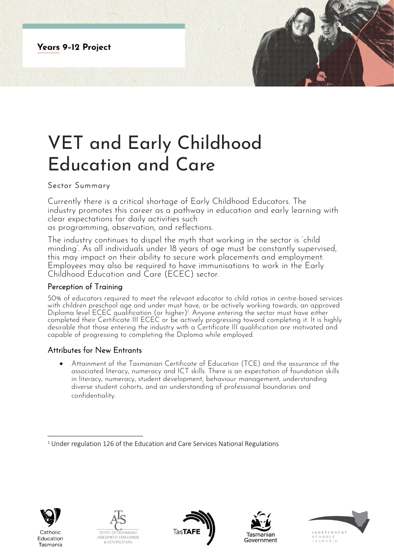**Years 9-12 Project** 

# VET and Early Childhood Education and Care

## Sector Summary

Currently there is a critical shortage of Early Childhood Educators. The industry promotes this career as a pathway in education and early learning with clear expectations for daily activities such

as programming, observation, and reflections.

The industry continues to dispel the myth that working in the sector is 'child minding'. As all individuals under 18 years of age must be constantly supervised, this may impact on their ability to secure work placements and employment. Employees may also be required to have immunisations to work in the Early Childhood Education and Care (ECEC) sector.

### Perception of Training

50% of educators required to meet the relevant educator to child ratios in centre-based services with children preschool age and under must have, or be actively working towards, an approved Diploma level ECEC qualification (or higher)<sup>1</sup>. Anyone entering the sector must have either completed their Certificate III ECEC or be actively progressing toward completing it. It is highly desirable that those entering the industry with a Certificate III qualification are motivated and capable of progressing to completing the Diploma while employed.

## Attributes for New Entrants

• Attainment of the Tasmanian Certificate of Education (TCE) and the assurance of the associated literacy, numeracy and ICT skills. There is an expectation of foundation skills in literacy, numeracy, student development, behaviour management, understanding diverse student cohorts, and an understanding of professional boundaries and confidentiality.



Tasmania









<sup>&</sup>lt;sup>1</sup> Under regulation 126 of the Education and Care Services National Regulations